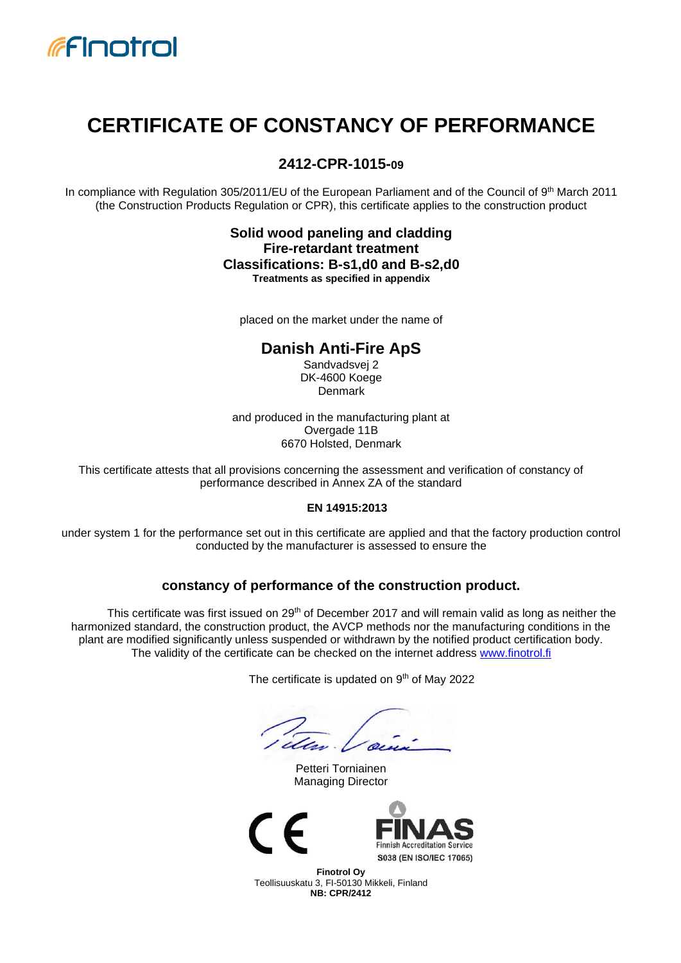

# **CERTIFICATE OF CONSTANCY OF PERFORMANCE**

# **2412-CPR-1015-09**

In compliance with Regulation 305/2011/EU of the European Parliament and of the Council of 9<sup>th</sup> March 2011 (the Construction Products Regulation or CPR), this certificate applies to the construction product

#### **Solid wood paneling and cladding Fire-retardant treatment Classifications: B-s1,d0 and B-s2,d0 Treatments as specified in appendix**

placed on the market under the name of

# **Danish Anti-Fire ApS**

Sandvadsvej 2 DK-4600 Koege **Denmark** 

and produced in the manufacturing plant at Overgade 11B 6670 Holsted, Denmark

This certificate attests that all provisions concerning the assessment and verification of constancy of performance described in Annex ZA of the standard

#### **EN 14915:2013**

under system 1 for the performance set out in this certificate are applied and that the factory production control conducted by the manufacturer is assessed to ensure the

#### **constancy of performance of the construction product.**

This certificate was first issued on  $29<sup>th</sup>$  of December 2017 and will remain valid as long as neither the harmonized standard, the construction product, the AVCP methods nor the manufacturing conditions in the plant are modified significantly unless suspended or withdrawn by the notified product certification body. The validity of the certificate can be checked on the internet address [www.finotrol.fi](http://www.finotrol.fi/)

The certificate is updated on 9<sup>th</sup> of May 2022

Petteri Torniainen Managing Director





**Finotrol Oy** Teollisuuskatu 3, FI-50130 Mikkeli, Finland **NB: CPR/2412**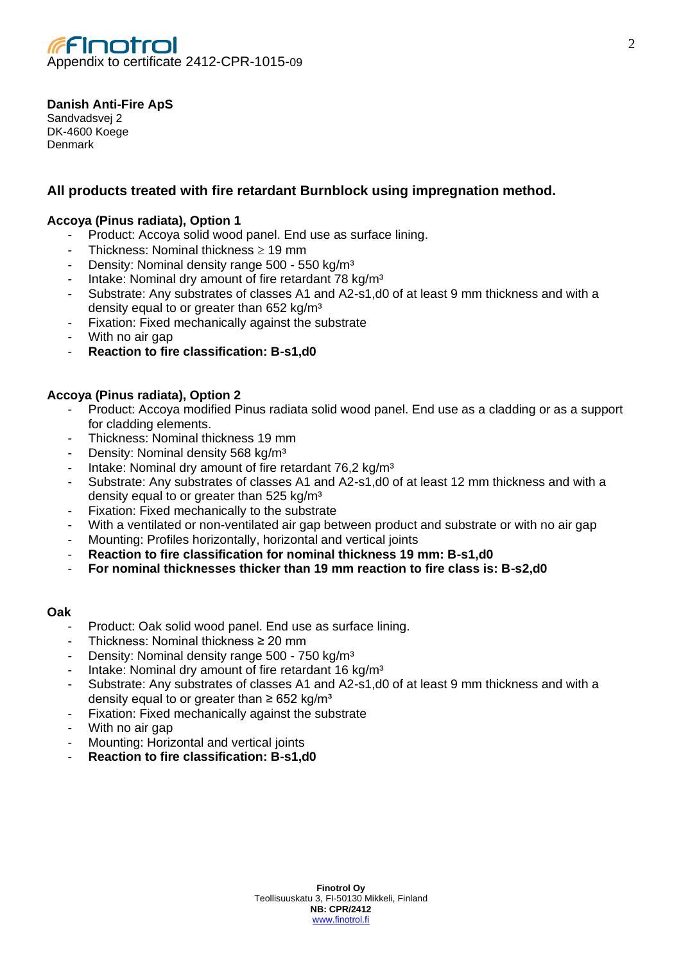

#### **Danish Anti-Fire ApS**

Sandvadsvej 2 DK-4600 Koege Denmark

# **All products treated with fire retardant Burnblock using impregnation method.**

#### **Accoya (Pinus radiata), Option 1**

- Product: Accoya solid wood panel. End use as surface lining.
- Thickness: Nominal thickness  $\geq 19$  mm
- Density: Nominal density range 500 550 kg/m<sup>3</sup>
- Intake: Nominal dry amount of fire retardant 78 kg/m<sup>3</sup>
- Substrate: Any substrates of classes A1 and A2-s1,d0 of at least 9 mm thickness and with a density equal to or greater than 652 kg/m<sup>3</sup>
- Fixation: Fixed mechanically against the substrate
- With no air gap
- **Reaction to fire classification: B-s1,d0**

#### **Accoya (Pinus radiata), Option 2**

- Product: Accoya modified Pinus radiata solid wood panel. End use as a cladding or as a support for cladding elements.
- Thickness: Nominal thickness 19 mm
- Density: Nominal density 568 kg/m<sup>3</sup>
- Intake: Nominal dry amount of fire retardant 76,2 kg/m<sup>3</sup>
- Substrate: Any substrates of classes A1 and A2-s1,d0 of at least 12 mm thickness and with a density equal to or greater than 525 kg/m<sup>3</sup>
- Fixation: Fixed mechanically to the substrate
- With a ventilated or non-ventilated air gap between product and substrate or with no air gap
- Mounting: Profiles horizontally, horizontal and vertical joints
- **Reaction to fire classification for nominal thickness 19 mm: B-s1,d0**
- **For nominal thicknesses thicker than 19 mm reaction to fire class is: B-s2,d0**

#### **Oak**

- Product: Oak solid wood panel. End use as surface lining.
- Thickness: Nominal thickness ≥ 20 mm
- Density: Nominal density range 500 750 kg/m<sup>3</sup>
- Intake: Nominal dry amount of fire retardant 16 kg/m<sup>3</sup>
- Substrate: Any substrates of classes A1 and A2-s1,d0 of at least 9 mm thickness and with a density equal to or greater than  $\geq$  652 kg/m<sup>3</sup>
- Fixation: Fixed mechanically against the substrate
- With no air gap
- Mounting: Horizontal and vertical joints
- **Reaction to fire classification: B-s1,d0**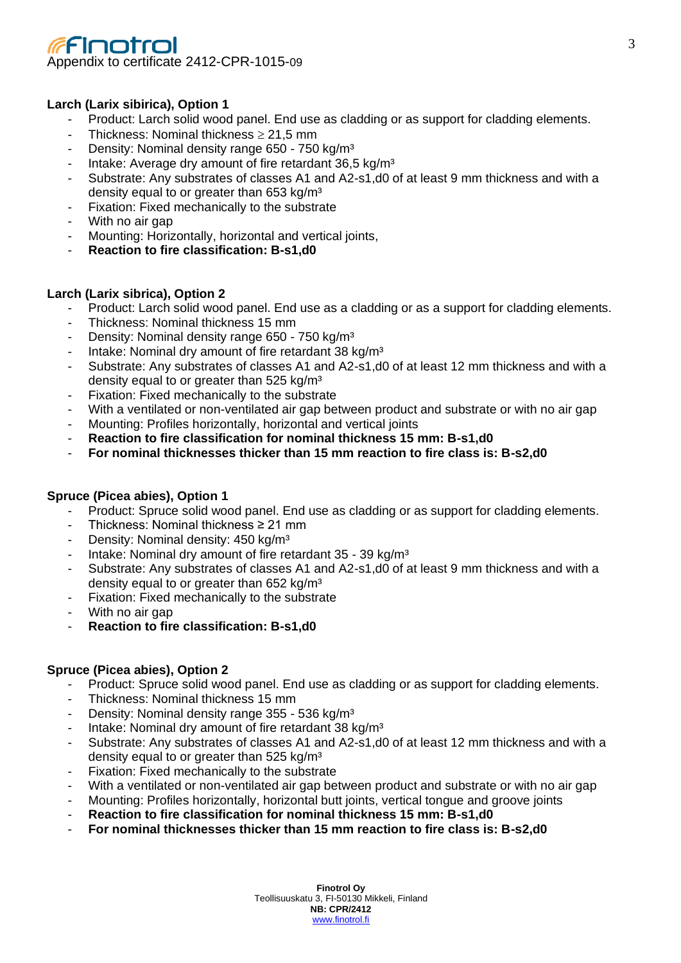# Finotrol Appendix to certificate 2412-CPR-1015-09

## **Larch (Larix sibirica), Option 1**

- Product: Larch solid wood panel. End use as cladding or as support for cladding elements.
- Thickness: Nominal thickness  $\geq 21.5$  mm
- Density: Nominal density range 650 750 kg/m<sup>3</sup>
- Intake: Average dry amount of fire retardant 36,5 kg/m<sup>3</sup>
- Substrate: Any substrates of classes A1 and A2-s1,d0 of at least 9 mm thickness and with a density equal to or greater than 653 kg/m<sup>3</sup>
- Fixation: Fixed mechanically to the substrate
- With no air gap
- Mounting: Horizontally, horizontal and vertical joints,
- **Reaction to fire classification: B-s1,d0**

#### **Larch (Larix sibrica), Option 2**

- Product: Larch solid wood panel. End use as a cladding or as a support for cladding elements.
- Thickness: Nominal thickness 15 mm
- Density: Nominal density range 650 750 kg/m<sup>3</sup>
- Intake: Nominal dry amount of fire retardant 38 kg/m<sup>3</sup>
- Substrate: Any substrates of classes A1 and A2-s1,d0 of at least 12 mm thickness and with a density equal to or greater than 525 kg/m<sup>3</sup>
- Fixation: Fixed mechanically to the substrate
- With a ventilated or non-ventilated air gap between product and substrate or with no air gap
- Mounting: Profiles horizontally, horizontal and vertical joints
- **Reaction to fire classification for nominal thickness 15 mm: B-s1,d0**
- **For nominal thicknesses thicker than 15 mm reaction to fire class is: B-s2,d0**

#### **Spruce (Picea abies), Option 1**

- Product: Spruce solid wood panel. End use as cladding or as support for cladding elements.
- Thickness: Nominal thickness  $\geq 21$  mm
- Density: Nominal density: 450 kg/m<sup>3</sup>
- Intake: Nominal dry amount of fire retardant 35 39 kg/m<sup>3</sup>
- Substrate: Any substrates of classes A1 and A2-s1,d0 of at least 9 mm thickness and with a density equal to or greater than 652 kg/m<sup>3</sup>
- Fixation: Fixed mechanically to the substrate
- With no air gap
- **Reaction to fire classification: B-s1,d0**

## **Spruce (Picea abies), Option 2**

- Product: Spruce solid wood panel. End use as cladding or as support for cladding elements.
- Thickness: Nominal thickness 15 mm
- Density: Nominal density range 355 536 kg/m<sup>3</sup>
- Intake: Nominal dry amount of fire retardant 38 kg/m<sup>3</sup>
- Substrate: Any substrates of classes A1 and A2-s1,d0 of at least 12 mm thickness and with a density equal to or greater than 525 kg/m<sup>3</sup>
- Fixation: Fixed mechanically to the substrate
- With a ventilated or non-ventilated air gap between product and substrate or with no air gap
- Mounting: Profiles horizontally, horizontal butt joints, vertical tongue and groove joints
- **Reaction to fire classification for nominal thickness 15 mm: B-s1,d0**
- **For nominal thicknesses thicker than 15 mm reaction to fire class is: B-s2,d0**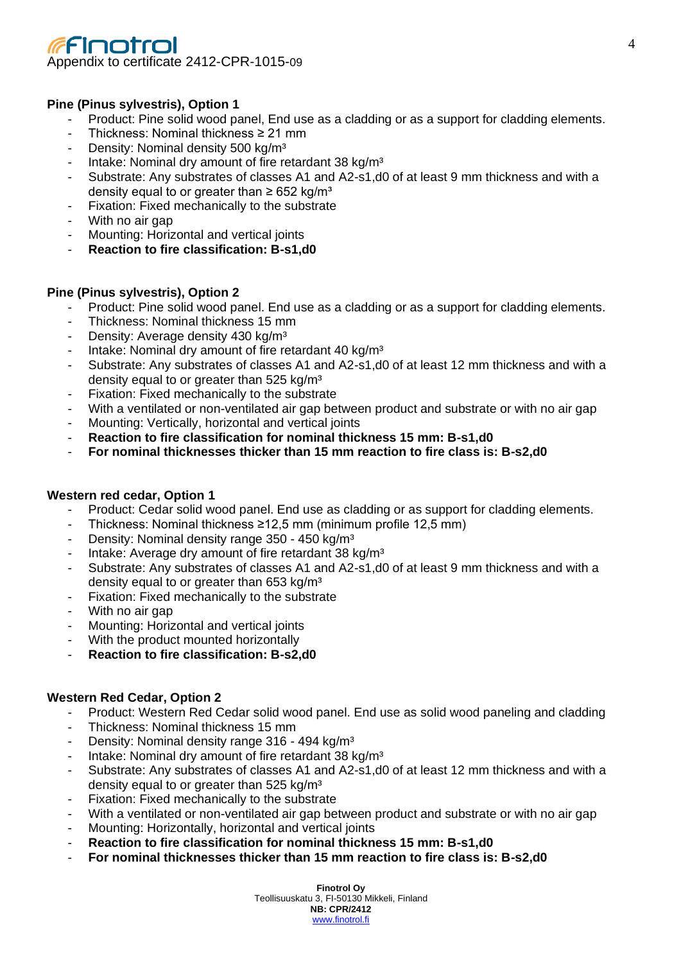# Finotrol Appendix to certificate 2412-CPR-1015-09

## **Pine (Pinus sylvestris), Option 1**

- Product: Pine solid wood panel, End use as a cladding or as a support for cladding elements.
- Thickness: Nominal thickness ≥ 21 mm
- Density: Nominal density 500 kg/m<sup>3</sup>
- Intake: Nominal dry amount of fire retardant 38 kg/m<sup>3</sup>
- Substrate: Any substrates of classes A1 and A2-s1,d0 of at least 9 mm thickness and with a density equal to or greater than  $\geq$  652 kg/m<sup>3</sup>
- Fixation: Fixed mechanically to the substrate
- With no air gap
- Mounting: Horizontal and vertical joints
- **Reaction to fire classification: B-s1,d0**

#### **Pine (Pinus sylvestris), Option 2**

- Product: Pine solid wood panel. End use as a cladding or as a support for cladding elements.
- Thickness: Nominal thickness 15 mm
- Density: Average density 430 kg/m<sup>3</sup>
- Intake: Nominal dry amount of fire retardant 40 kg/m<sup>3</sup>
- Substrate: Any substrates of classes A1 and A2-s1,d0 of at least 12 mm thickness and with a density equal to or greater than 525 kg/m<sup>3</sup>
- Fixation: Fixed mechanically to the substrate
- With a ventilated or non-ventilated air gap between product and substrate or with no air gap
- Mounting: Vertically, horizontal and vertical joints
- **Reaction to fire classification for nominal thickness 15 mm: B-s1,d0**
- **For nominal thicknesses thicker than 15 mm reaction to fire class is: B-s2,d0**

#### **Western red cedar, Option 1**

- Product: Cedar solid wood panel. End use as cladding or as support for cladding elements.
- Thickness: Nominal thickness ≥12,5 mm (minimum profile 12,5 mm)
- Density: Nominal density range 350 450 kg/m<sup>3</sup>
- Intake: Average dry amount of fire retardant 38 kg/m<sup>3</sup>
- Substrate: Any substrates of classes A1 and A2-s1,d0 of at least 9 mm thickness and with a density equal to or greater than 653 kg/m<sup>3</sup>
- Fixation: Fixed mechanically to the substrate
- With no air gap
- Mounting: Horizontal and vertical joints
- With the product mounted horizontally
- **Reaction to fire classification: B-s2,d0**

#### **Western Red Cedar, Option 2**

- Product: Western Red Cedar solid wood panel. End use as solid wood paneling and cladding
- Thickness: Nominal thickness 15 mm
- Density: Nominal density range 316 494 kg/m<sup>3</sup>
- Intake: Nominal dry amount of fire retardant 38 kg/m<sup>3</sup>
- Substrate: Any substrates of classes A1 and A2-s1,d0 of at least 12 mm thickness and with a density equal to or greater than 525 kg/m<sup>3</sup>
- Fixation: Fixed mechanically to the substrate
- With a ventilated or non-ventilated air gap between product and substrate or with no air gap
- Mounting: Horizontally, horizontal and vertical joints
- **Reaction to fire classification for nominal thickness 15 mm: B-s1,d0**
- **For nominal thicknesses thicker than 15 mm reaction to fire class is: B-s2,d0**

**Finotrol Oy** Teollisuuskatu 3, FI-50130 Mikkeli, Finland **NB: CPR/2412** [www.finotrol.fi](http://www.finotrol.fi/)